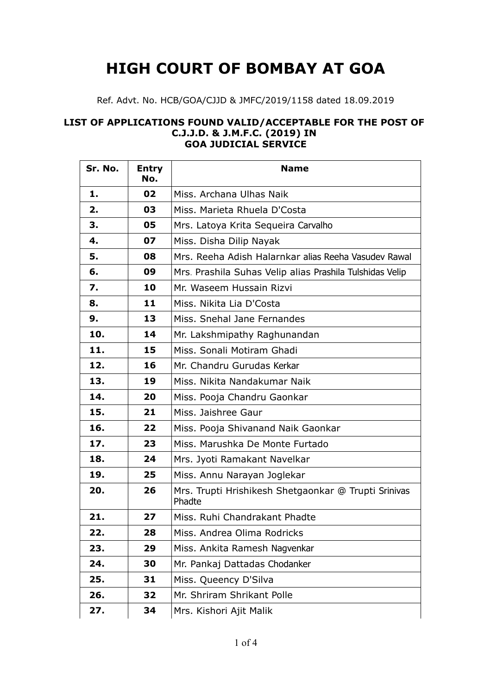## **HIGH COURT OF BOMBAY AT GOA**

## Ref. Advt. No. HCB/GOA/CJJD & JMFC/2019/1158 dated 18.09.2019

## **LIST OF APPLICATIONS FOUND VALID/ACCEPTABLE FOR THE POST OF C.J.J.D. & J.M.F.C. (2019) IN GOA JUDICIAL SERVICE**

| Sr. No. | <b>Entry</b><br>No. | <b>Name</b>                                                    |
|---------|---------------------|----------------------------------------------------------------|
| 1.      | 02                  | Miss. Archana Ulhas Naik                                       |
| 2.      | 03                  | Miss. Marieta Rhuela D'Costa                                   |
| 3.      | 05                  | Mrs. Latoya Krita Sequeira Carvalho                            |
| 4.      | 07                  | Miss. Disha Dilip Nayak                                        |
| 5.      | 08                  | Mrs. Reeha Adish Halarnkar alias Reeha Vasudev Rawal           |
| 6.      | 09                  | Mrs. Prashila Suhas Velip alias Prashila Tulshidas Velip       |
| 7.      | 10                  | Mr. Waseem Hussain Rizvi                                       |
| 8.      | 11                  | Miss. Nikita Lia D'Costa                                       |
| 9.      | 13                  | Miss. Snehal Jane Fernandes                                    |
| 10.     | 14                  | Mr. Lakshmipathy Raghunandan                                   |
| 11.     | 15                  | Miss. Sonali Motiram Ghadi                                     |
| 12.     | 16                  | Mr. Chandru Gurudas Kerkar                                     |
| 13.     | 19                  | Miss. Nikita Nandakumar Naik                                   |
| 14.     | 20                  | Miss. Pooja Chandru Gaonkar                                    |
| 15.     | 21                  | Miss. Jaishree Gaur                                            |
| 16.     | 22                  | Miss. Pooja Shivanand Naik Gaonkar                             |
| 17.     | 23                  | Miss. Marushka De Monte Furtado                                |
| 18.     | 24                  | Mrs. Jyoti Ramakant Navelkar                                   |
| 19.     | 25                  | Miss. Annu Narayan Joglekar                                    |
| 20.     | 26                  | Mrs. Trupti Hrishikesh Shetgaonkar @ Trupti Srinivas<br>Phadte |
| 21.     | 27                  | Miss. Ruhi Chandrakant Phadte                                  |
| 22.     | 28                  | Miss. Andrea Olima Rodricks                                    |
| 23.     | 29                  | Miss. Ankita Ramesh Nagvenkar                                  |
| 24.     | 30                  | Mr. Pankaj Dattadas Chodanker                                  |
| 25.     | 31                  | Miss. Queency D'Silva                                          |
| 26.     | 32                  | Mr. Shriram Shrikant Polle                                     |
| 27.     | 34                  | Mrs. Kishori Ajit Malik                                        |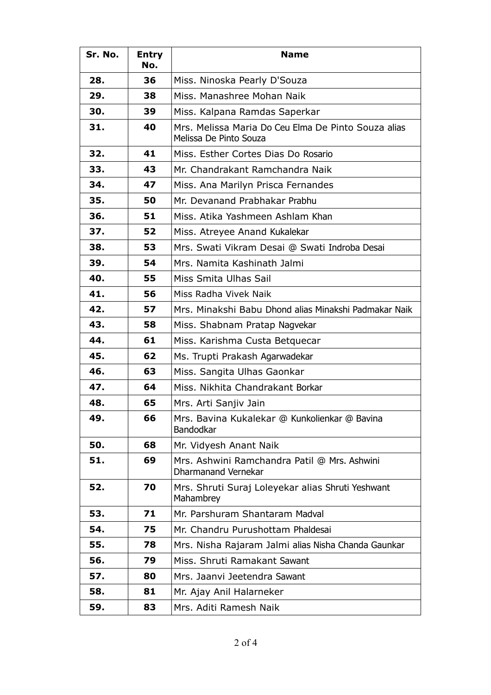| Sr. No. | <b>Entry</b><br>No. | <b>Name</b>                                                                   |
|---------|---------------------|-------------------------------------------------------------------------------|
| 28.     | 36                  | Miss. Ninoska Pearly D'Souza                                                  |
| 29.     | 38                  | Miss. Manashree Mohan Naik                                                    |
| 30.     | 39                  | Miss. Kalpana Ramdas Saperkar                                                 |
| 31.     | 40                  | Mrs. Melissa Maria Do Ceu Elma De Pinto Souza alias<br>Melissa De Pinto Souza |
| 32.     | 41                  | Miss. Esther Cortes Dias Do Rosario                                           |
| 33.     | 43                  | Mr. Chandrakant Ramchandra Naik                                               |
| 34.     | 47                  | Miss. Ana Marilyn Prisca Fernandes                                            |
| 35.     | 50                  | Mr. Devanand Prabhakar Prabhu                                                 |
| 36.     | 51                  | Miss. Atika Yashmeen Ashlam Khan                                              |
| 37.     | 52                  | Miss. Atreyee Anand Kukalekar                                                 |
| 38.     | 53                  | Mrs. Swati Vikram Desai @ Swati Indroba Desai                                 |
| 39.     | 54                  | Mrs. Namita Kashinath Jalmi                                                   |
| 40.     | 55                  | Miss Smita Ulhas Sail                                                         |
| 41.     | 56                  | Miss Radha Vivek Naik                                                         |
| 42.     | 57                  | Mrs. Minakshi Babu Dhond alias Minakshi Padmakar Naik                         |
| 43.     | 58                  | Miss. Shabnam Pratap Nagvekar                                                 |
| 44.     | 61                  | Miss. Karishma Custa Betquecar                                                |
| 45.     | 62                  | Ms. Trupti Prakash Agarwadekar                                                |
| 46.     | 63                  | Miss. Sangita Ulhas Gaonkar                                                   |
| 47.     | 64                  | Miss. Nikhita Chandrakant Borkar                                              |
| 48.     | 65                  | Mrs. Arti Sanjiv Jain                                                         |
| 49.     | 66                  | Mrs. Bavina Kukalekar @ Kunkolienkar @ Bavina<br>Bandodkar                    |
| 50.     | 68                  | Mr. Vidyesh Anant Naik                                                        |
| 51.     | 69                  | Mrs. Ashwini Ramchandra Patil @ Mrs. Ashwini<br><b>Dharmanand Vernekar</b>    |
| 52.     | 70                  | Mrs. Shruti Suraj Loleyekar alias Shruti Yeshwant<br>Mahambrey                |
| 53.     | 71                  | Mr. Parshuram Shantaram Madval                                                |
| 54.     | 75                  | Mr. Chandru Purushottam Phaldesai                                             |
| 55.     | 78                  | Mrs. Nisha Rajaram Jalmi alias Nisha Chanda Gaunkar                           |
| 56.     | 79                  | Miss, Shruti Ramakant Sawant                                                  |
| 57.     | 80                  | Mrs. Jaanvi Jeetendra Sawant                                                  |
| 58.     | 81                  | Mr. Ajay Anil Halarneker                                                      |
| 59.     | 83                  | Mrs. Aditi Ramesh Naik                                                        |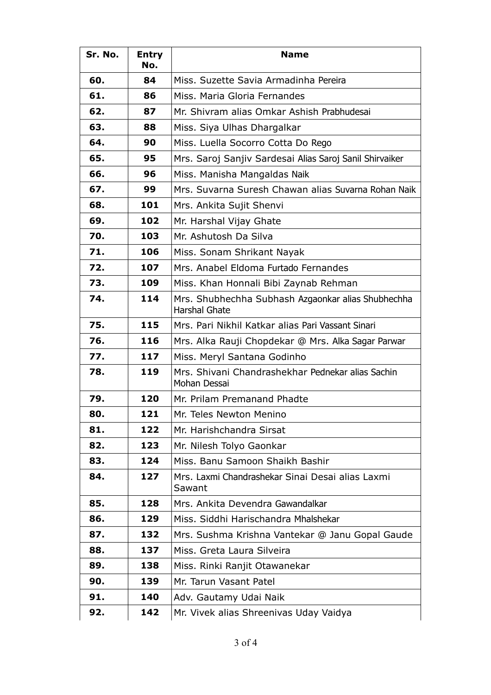| Sr. No. | <b>Entry</b><br>No. | <b>Name</b>                                                                |
|---------|---------------------|----------------------------------------------------------------------------|
| 60.     | 84                  | Miss. Suzette Savia Armadinha Pereira                                      |
| 61.     | 86                  | Miss. Maria Gloria Fernandes                                               |
| 62.     | 87                  | Mr. Shivram alias Omkar Ashish Prabhudesai                                 |
| 63.     | 88                  | Miss. Siya Ulhas Dhargalkar                                                |
| 64.     | 90                  | Miss. Luella Socorro Cotta Do Rego                                         |
| 65.     | 95                  | Mrs. Saroj Sanjiv Sardesai Alias Saroj Sanil Shirvaiker                    |
| 66.     | 96                  | Miss. Manisha Mangaldas Naik                                               |
| 67.     | 99                  | Mrs. Suvarna Suresh Chawan alias Suvarna Rohan Naik                        |
| 68.     | 101                 | Mrs. Ankita Sujit Shenvi                                                   |
| 69.     | 102                 | Mr. Harshal Vijay Ghate                                                    |
| 70.     | 103                 | Mr. Ashutosh Da Silva                                                      |
| 71.     | 106                 | Miss. Sonam Shrikant Nayak                                                 |
| 72.     | 107                 | Mrs. Anabel Eldoma Furtado Fernandes                                       |
| 73.     | 109                 | Miss. Khan Honnali Bibi Zaynab Rehman                                      |
| 74.     | 114                 | Mrs. Shubhechha Subhash Azgaonkar alias Shubhechha<br><b>Harshal Ghate</b> |
| 75.     | 115                 | Mrs. Pari Nikhil Katkar alias Pari Vassant Sinari                          |
| 76.     | 116                 | Mrs. Alka Rauji Chopdekar @ Mrs. Alka Sagar Parwar                         |
| 77.     | 117                 | Miss. Meryl Santana Godinho                                                |
| 78.     | 119                 | Mrs. Shivani Chandrashekhar Pednekar alias Sachin<br>Mohan Dessai          |
| 79.     | 120                 | Mr. Prilam Premanand Phadte                                                |
| 80.     | 121                 | Mr. Teles Newton Menino                                                    |
| 81.     | 122                 | Mr. Harishchandra Sirsat                                                   |
| 82.     | 123                 | Mr. Nilesh Tolyo Gaonkar                                                   |
| 83.     | 124                 | Miss. Banu Samoon Shaikh Bashir                                            |
| 84.     | 127                 | Mrs. Laxmi Chandrashekar Sinai Desai alias Laxmi<br>Sawant                 |
| 85.     | 128                 | Mrs. Ankita Devendra Gawandalkar                                           |
| 86.     | 129                 | Miss. Siddhi Harischandra Mhalshekar                                       |
| 87.     | 132                 | Mrs. Sushma Krishna Vantekar @ Janu Gopal Gaude                            |
| 88.     | 137                 | Miss. Greta Laura Silveira                                                 |
| 89.     | 138                 | Miss. Rinki Ranjit Otawanekar                                              |
| 90.     | 139                 | Mr. Tarun Vasant Patel                                                     |
| 91.     | 140                 | Adv. Gautamy Udai Naik                                                     |
| 92.     | 142                 | Mr. Vivek alias Shreenivas Uday Vaidya                                     |